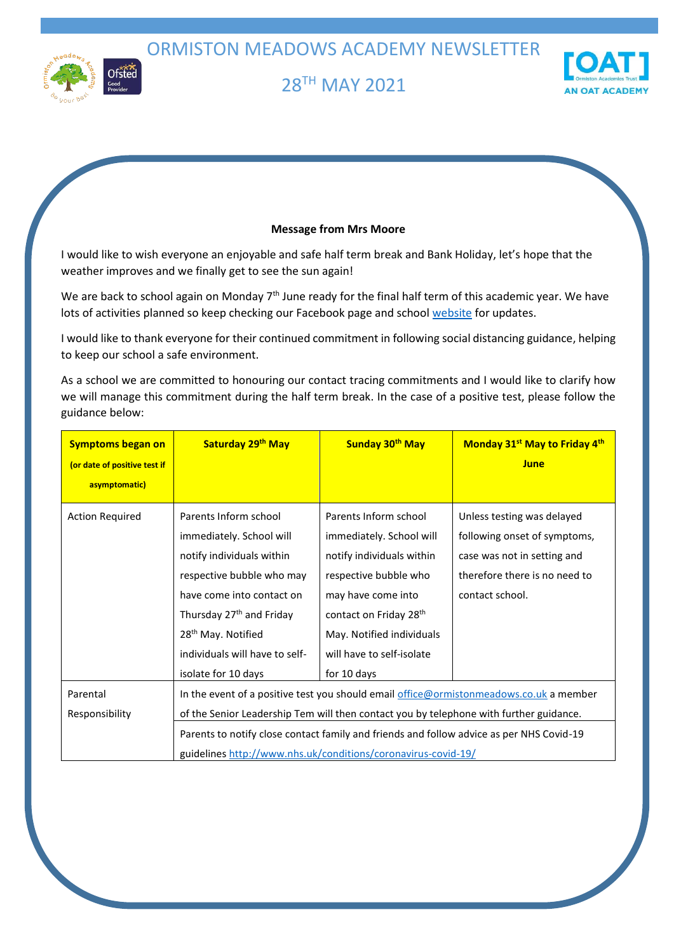ORMISTON MEADOWS ACADEMY NEWSLETTER



# 28 TH MAY 2021



# **Message from Mrs Moore**

I would like to wish everyone an enjoyable and safe half term break and Bank Holiday, let's hope that the weather improves and we finally get to see the sun again!

We are back to school again on Monday 7<sup>th</sup> June ready for the final half term of this academic year. We have lots of activities planned so keep checking our Facebook page and school [website](https://ormistonmeadows.co.uk/key-info/policies) for updates.

I would like to thank everyone for their continued commitment in following social distancing guidance, helping to keep our school a safe environment.

As a school we are committed to honouring our contact tracing commitments and I would like to clarify how we will manage this commitment during the half term break. In the case of a positive test, please follow the guidance below:

| <b>Symptoms began on</b>                      | Saturday 29 <sup>th</sup> May                                                                                                                             | Sunday 30 <sup>th</sup> May        | Monday 31 <sup>st</sup> May to Friday 4 <sup>th</sup> |
|-----------------------------------------------|-----------------------------------------------------------------------------------------------------------------------------------------------------------|------------------------------------|-------------------------------------------------------|
| (or date of positive test if<br>asymptomatic) |                                                                                                                                                           |                                    | June                                                  |
|                                               |                                                                                                                                                           |                                    |                                                       |
| <b>Action Required</b>                        | Parents Inform school                                                                                                                                     | Parents Inform school              | Unless testing was delayed                            |
|                                               | immediately. School will                                                                                                                                  | immediately. School will           | following onset of symptoms,                          |
|                                               | notify individuals within                                                                                                                                 | notify individuals within          | case was not in setting and                           |
|                                               | respective bubble who may                                                                                                                                 | respective bubble who              | therefore there is no need to                         |
|                                               | have come into contact on                                                                                                                                 | may have come into                 | contact school.                                       |
|                                               | Thursday 27 <sup>th</sup> and Friday                                                                                                                      | contact on Friday 28 <sup>th</sup> |                                                       |
|                                               | 28 <sup>th</sup> May. Notified                                                                                                                            | May. Notified individuals          |                                                       |
|                                               | individuals will have to self-                                                                                                                            | will have to self-isolate          |                                                       |
|                                               | isolate for 10 days                                                                                                                                       | for 10 days                        |                                                       |
| Parental                                      | In the event of a positive test you should email office@ormistonmeadows.co.uk a member                                                                    |                                    |                                                       |
| Responsibility                                | of the Senior Leadership Tem will then contact you by telephone with further guidance.                                                                    |                                    |                                                       |
|                                               | Parents to notify close contact family and friends and follow advice as per NHS Covid-19<br>guidelines http://www.nhs.uk/conditions/coronavirus-covid-19/ |                                    |                                                       |
|                                               |                                                                                                                                                           |                                    |                                                       |